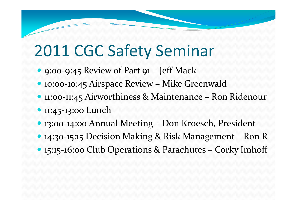### 2011 CGC Safety Seminar

- 9:00-9:45 Review of Part 91 Jeff Mack
- 10:00-10:45 Airspace Review Mike Greenwald
- 11:00-11:45 Airworthiness & Maintenance Ron Ridenour
- 11:45-13:00 Lunch
- 13:00-14:00 Annual Meeting Don Kroesch, President
- 14:30-15:15 Decision Making & Risk Management Ron R
- 15:15-16:00 Club Operations & Parachutes Corky Imhoff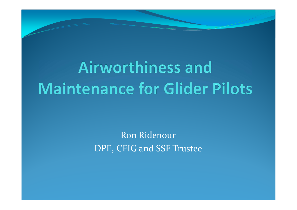# **Airworthiness and Maintenance for Glider Pilots**

Ron RidenourDPE, CFIG and SSF Trustee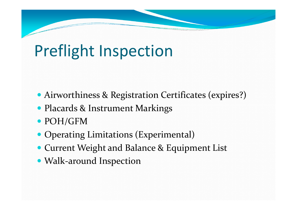# Preflight Inspection

- Airworthiness & Registration Certificates (expires?)
- Placards & Instrument Markings
- POH/GFM
- Operating Limitations (Experimental)
- Current Weight and Balance & Equipment List
- Walk-around Inspection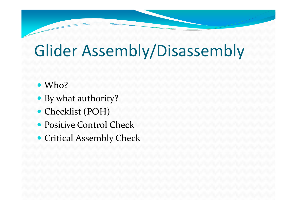# Glider Assembly/Disassembly

- Who?
- By what authority?
- Checklist (POH)
- Positive Control Check
- Critical Assembly Check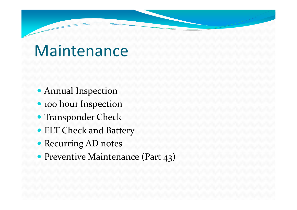#### **Maintenance**

- Annual Inspection
- 100 hour Inspection
- Transponder Check
- ELT Check and Battery
- Recurring AD notes
- Preventive Maintenance (Part 43)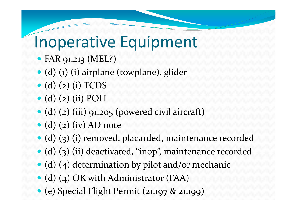#### Inoperative Equipment

- FAR 91.213 (MEL?)
- (d) (1) (i) airplane (towplane), glider
- $\bullet$  (d) (2) (i) TCDS
- $\bullet$  (d) (2) (ii) POH
- (d) (2) (iii) 91.205 (powered civil aircraft)
- $\bullet$  (d) (2) (iv) AD note
- (d) (3) (i) removed, placarded, maintenance recorded
- (d) (3) (ii) deactivated, "inop", maintenance recorded
- (d) (4) determination by pilot and/or mechanic
- (d) (4) OK with Administrator (FAA)
- (e) Special Flight Permit (21.197 & 21.199)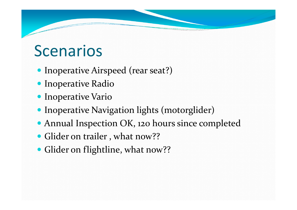### Scenarios

- Inoperative Airspeed (rear seat?)
- **Inoperative Radio**
- **Inoperative Vario**
- Inoperative Navigation lights (motorglider)
- Annual Inspection OK, 120 hours since completed
- Glider on trailer, what now??
- Glider on flightline, what now??